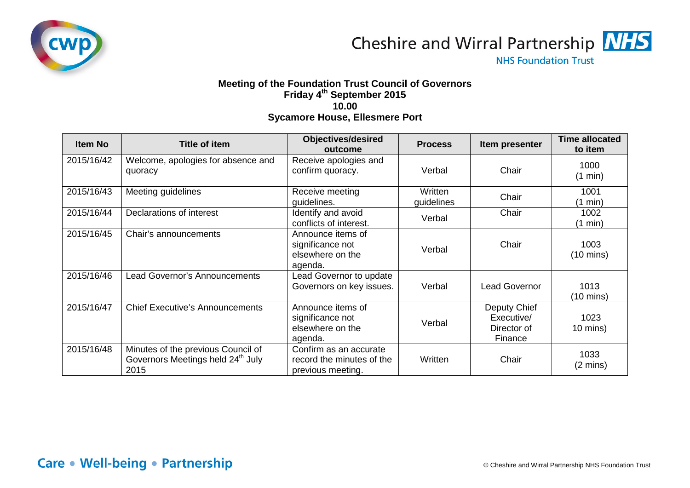

Cheshire and Wirral Partnership MHS

**NHS Foundation Trust** 

## **Meeting of the Foundation Trust Council of Governors Friday 4th September 2015 10.00 Sycamore House, Ellesmere Port**

| <b>Item No</b> | <b>Title of item</b>                                                                        | <b>Objectives/desired</b><br>outcome                                     | <b>Process</b>        | Item presenter                                       | <b>Time allocated</b><br>to item |
|----------------|---------------------------------------------------------------------------------------------|--------------------------------------------------------------------------|-----------------------|------------------------------------------------------|----------------------------------|
| 2015/16/42     | Welcome, apologies for absence and<br>quoracy                                               | Receive apologies and<br>confirm quoracy.                                | Verbal                | Chair                                                | 1000<br>(1 min)                  |
| 2015/16/43     | Meeting guidelines                                                                          | Receive meeting<br>guidelines.                                           | Written<br>guidelines | Chair                                                | 1001<br>(1 min)                  |
| 2015/16/44     | Declarations of interest                                                                    | Identify and avoid<br>conflicts of interest.                             | Verbal                | Chair                                                | 1002<br>$(1 \text{ min})$        |
| 2015/16/45     | Chair's announcements                                                                       | Announce items of<br>significance not<br>elsewhere on the<br>agenda.     | Verbal                | Chair                                                | 1003<br>$(10 \text{ mins})$      |
| 2015/16/46     | <b>Lead Governor's Announcements</b>                                                        | Lead Governor to update<br>Governors on key issues.                      | Verbal                | <b>Lead Governor</b>                                 | 1013<br>$(10 \text{ mins})$      |
| 2015/16/47     | <b>Chief Executive's Announcements</b>                                                      | Announce items of<br>significance not<br>elsewhere on the<br>agenda.     | Verbal                | Deputy Chief<br>Executive/<br>Director of<br>Finance | 1023<br>$10 \text{ mins}$ )      |
| 2015/16/48     | Minutes of the previous Council of<br>Governors Meetings held 24 <sup>th</sup> July<br>2015 | Confirm as an accurate<br>record the minutes of the<br>previous meeting. | Written               | Chair                                                | 1033<br>$(2 \text{ mins})$       |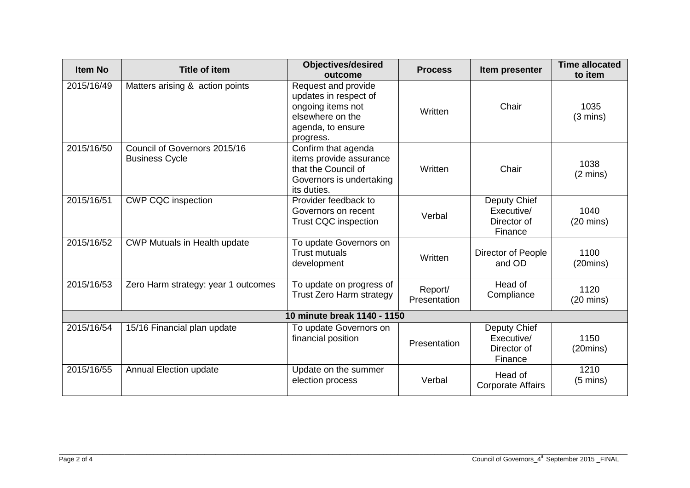| <b>Item No</b>              | <b>Title of item</b>                                  | <b>Objectives/desired</b><br>outcome                                                                                    | <b>Process</b>          | Item presenter                                       | <b>Time allocated</b><br>to item |  |  |
|-----------------------------|-------------------------------------------------------|-------------------------------------------------------------------------------------------------------------------------|-------------------------|------------------------------------------------------|----------------------------------|--|--|
| 2015/16/49                  | Matters arising & action points                       | Request and provide<br>updates in respect of<br>ongoing items not<br>elsewhere on the<br>agenda, to ensure<br>progress. | Written                 | Chair                                                | 1035<br>$(3 \text{ mins})$       |  |  |
| 2015/16/50                  | Council of Governors 2015/16<br><b>Business Cycle</b> | Confirm that agenda<br>items provide assurance<br>that the Council of<br>Governors is undertaking<br>its duties.        | Written                 | Chair                                                | 1038<br>$(2 \text{ mins})$       |  |  |
| 2015/16/51                  | <b>CWP CQC inspection</b>                             | Provider feedback to<br>Governors on recent<br><b>Trust CQC inspection</b>                                              | Verbal                  | Deputy Chief<br>Executive/<br>Director of<br>Finance | 1040<br>$(20 \text{ mins})$      |  |  |
| 2015/16/52                  | <b>CWP Mutuals in Health update</b>                   | To update Governors on<br><b>Trust mutuals</b><br>development                                                           | Written                 | Director of People<br>and OD                         | 1100<br>(20 mins)                |  |  |
| 2015/16/53                  | Zero Harm strategy: year 1 outcomes                   | To update on progress of<br><b>Trust Zero Harm strategy</b>                                                             | Report/<br>Presentation | Head of<br>Compliance                                | 1120<br>$(20 \text{ mins})$      |  |  |
| 10 minute break 1140 - 1150 |                                                       |                                                                                                                         |                         |                                                      |                                  |  |  |
| 2015/16/54                  | 15/16 Financial plan update                           | To update Governors on<br>financial position                                                                            | Presentation            | Deputy Chief<br>Executive/<br>Director of<br>Finance | 1150<br>(20 mins)                |  |  |
| 2015/16/55                  | <b>Annual Election update</b>                         | Update on the summer<br>election process                                                                                | Verbal                  | Head of<br><b>Corporate Affairs</b>                  | 1210<br>$(5 \text{ mins})$       |  |  |